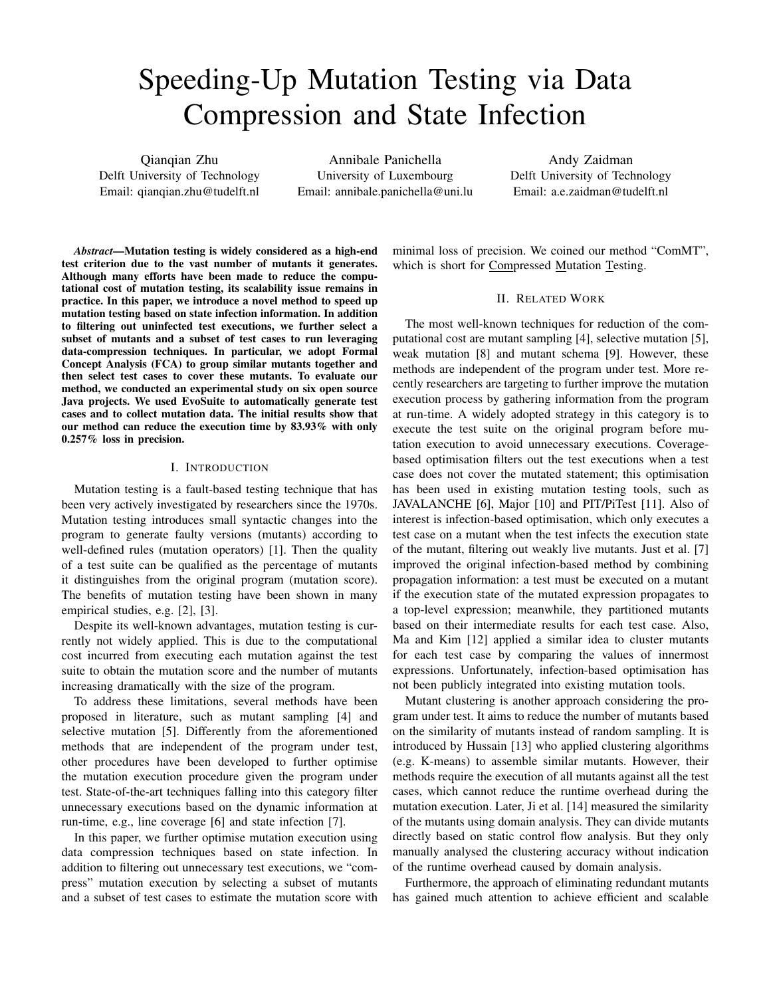# Speeding-Up Mutation Testing via Data Compression and State Infection

Qianqian Zhu Delft University of Technology Email: qianqian.zhu@tudelft.nl

Annibale Panichella University of Luxembourg Email: annibale.panichella@uni.lu

Andy Zaidman Delft University of Technology Email: a.e.zaidman@tudelft.nl

*Abstract*—Mutation testing is widely considered as a high-end test criterion due to the vast number of mutants it generates. Although many efforts have been made to reduce the computational cost of mutation testing, its scalability issue remains in practice. In this paper, we introduce a novel method to speed up mutation testing based on state infection information. In addition to filtering out uninfected test executions, we further select a subset of mutants and a subset of test cases to run leveraging data-compression techniques. In particular, we adopt Formal Concept Analysis (FCA) to group similar mutants together and then select test cases to cover these mutants. To evaluate our method, we conducted an experimental study on six open source Java projects. We used EvoSuite to automatically generate test cases and to collect mutation data. The initial results show that our method can reduce the execution time by 83.93% with only 0.257% loss in precision.

#### I. INTRODUCTION

Mutation testing is a fault-based testing technique that has been very actively investigated by researchers since the 1970s. Mutation testing introduces small syntactic changes into the program to generate faulty versions (mutants) according to well-defined rules (mutation operators) [1]. Then the quality of a test suite can be qualified as the percentage of mutants it distinguishes from the original program (mutation score). The benefits of mutation testing have been shown in many empirical studies, e.g. [2], [3].

Despite its well-known advantages, mutation testing is currently not widely applied. This is due to the computational cost incurred from executing each mutation against the test suite to obtain the mutation score and the number of mutants increasing dramatically with the size of the program.

To address these limitations, several methods have been proposed in literature, such as mutant sampling [4] and selective mutation [5]. Differently from the aforementioned methods that are independent of the program under test, other procedures have been developed to further optimise the mutation execution procedure given the program under test. State-of-the-art techniques falling into this category filter unnecessary executions based on the dynamic information at run-time, e.g., line coverage [6] and state infection [7].

In this paper, we further optimise mutation execution using data compression techniques based on state infection. In addition to filtering out unnecessary test executions, we "compress" mutation execution by selecting a subset of mutants and a subset of test cases to estimate the mutation score with minimal loss of precision. We coined our method "ComMT", which is short for Compressed Mutation Testing.

## II. RELATED WORK

The most well-known techniques for reduction of the computational cost are mutant sampling [4], selective mutation [5], weak mutation [8] and mutant schema [9]. However, these methods are independent of the program under test. More recently researchers are targeting to further improve the mutation execution process by gathering information from the program at run-time. A widely adopted strategy in this category is to execute the test suite on the original program before mutation execution to avoid unnecessary executions. Coveragebased optimisation filters out the test executions when a test case does not cover the mutated statement; this optimisation has been used in existing mutation testing tools, such as JAVALANCHE [6], Major [10] and PIT/PiTest [11]. Also of interest is infection-based optimisation, which only executes a test case on a mutant when the test infects the execution state of the mutant, filtering out weakly live mutants. Just et al. [7] improved the original infection-based method by combining propagation information: a test must be executed on a mutant if the execution state of the mutated expression propagates to a top-level expression; meanwhile, they partitioned mutants based on their intermediate results for each test case. Also, Ma and Kim [12] applied a similar idea to cluster mutants for each test case by comparing the values of innermost expressions. Unfortunately, infection-based optimisation has not been publicly integrated into existing mutation tools.

Mutant clustering is another approach considering the program under test. It aims to reduce the number of mutants based on the similarity of mutants instead of random sampling. It is introduced by Hussain [13] who applied clustering algorithms (e.g. K-means) to assemble similar mutants. However, their methods require the execution of all mutants against all the test cases, which cannot reduce the runtime overhead during the mutation execution. Later, Ji et al. [14] measured the similarity of the mutants using domain analysis. They can divide mutants directly based on static control flow analysis. But they only manually analysed the clustering accuracy without indication of the runtime overhead caused by domain analysis.

Furthermore, the approach of eliminating redundant mutants has gained much attention to achieve efficient and scalable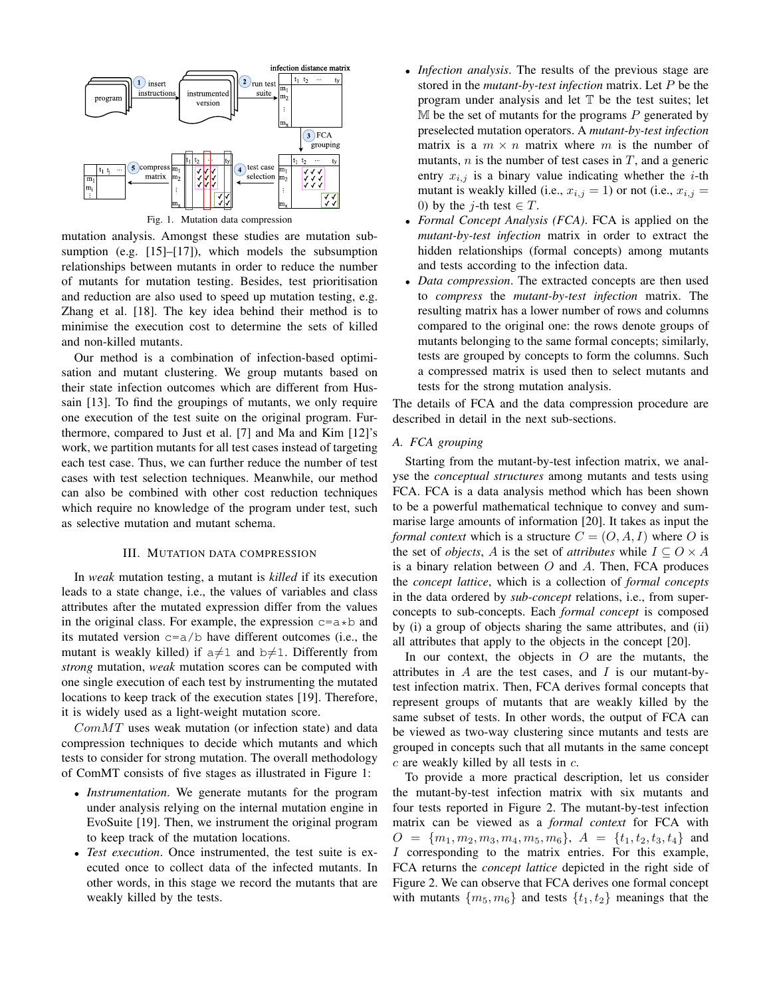

Fig. 1. Mutation data compression

mutation analysis. Amongst these studies are mutation subsumption (e.g. [15]–[17]), which models the subsumption relationships between mutants in order to reduce the number of mutants for mutation testing. Besides, test prioritisation and reduction are also used to speed up mutation testing, e.g. Zhang et al. [18]. The key idea behind their method is to minimise the execution cost to determine the sets of killed and non-killed mutants.

Our method is a combination of infection-based optimisation and mutant clustering. We group mutants based on their state infection outcomes which are different from Hussain [13]. To find the groupings of mutants, we only require one execution of the test suite on the original program. Furthermore, compared to Just et al. [7] and Ma and Kim [12]'s work, we partition mutants for all test cases instead of targeting each test case. Thus, we can further reduce the number of test cases with test selection techniques. Meanwhile, our method can also be combined with other cost reduction techniques which require no knowledge of the program under test, such as selective mutation and mutant schema.

#### III. MUTATION DATA COMPRESSION

In *weak* mutation testing, a mutant is *killed* if its execution leads to a state change, i.e., the values of variables and class attributes after the mutated expression differ from the values in the original class. For example, the expression  $c=a*b$  and its mutated version  $c=a/b$  have different outcomes (i.e., the mutant is weakly killed) if  $a \neq 1$  and  $b \neq 1$ . Differently from *strong* mutation, *weak* mutation scores can be computed with one single execution of each test by instrumenting the mutated locations to keep track of the execution states [19]. Therefore, it is widely used as a light-weight mutation score.

 $ComMT$  uses weak mutation (or infection state) and data compression techniques to decide which mutants and which tests to consider for strong mutation. The overall methodology of ComMT consists of five stages as illustrated in Figure 1:

- *Instrumentation*. We generate mutants for the program under analysis relying on the internal mutation engine in EvoSuite [19]. Then, we instrument the original program to keep track of the mutation locations.
- *Test execution*. Once instrumented, the test suite is executed once to collect data of the infected mutants. In other words, in this stage we record the mutants that are weakly killed by the tests.
- *Infection analysis*. The results of the previous stage are stored in the *mutant-by-test infection* matrix. Let P be the program under analysis and let  $T$  be the test suites; let  $M$  be the set of mutants for the programs  $P$  generated by preselected mutation operators. A *mutant-by-test infection* matrix is a  $m \times n$  matrix where m is the number of mutants,  $n$  is the number of test cases in  $T$ , and a generic entry  $x_{i,j}$  is a binary value indicating whether the *i*-th mutant is weakly killed (i.e.,  $x_{i,j} = 1$ ) or not (i.e.,  $x_{i,j} =$ 0) by the *j*-th test  $\in$  *T*.
- *Formal Concept Analysis (FCA)*. FCA is applied on the *mutant-by-test infection* matrix in order to extract the hidden relationships (formal concepts) among mutants and tests according to the infection data.
- *Data compression*. The extracted concepts are then used to *compress* the *mutant-by-test infection* matrix. The resulting matrix has a lower number of rows and columns compared to the original one: the rows denote groups of mutants belonging to the same formal concepts; similarly, tests are grouped by concepts to form the columns. Such a compressed matrix is used then to select mutants and tests for the strong mutation analysis.

The details of FCA and the data compression procedure are described in detail in the next sub-sections.

#### *A. FCA grouping*

Starting from the mutant-by-test infection matrix, we analyse the *conceptual structures* among mutants and tests using FCA. FCA is a data analysis method which has been shown to be a powerful mathematical technique to convey and summarise large amounts of information [20]. It takes as input the *formal context* which is a structure  $C = (O, A, I)$  where O is the set of *objects*, A is the set of *attributes* while  $I \subseteq O \times A$ is a binary relation between  $O$  and  $A$ . Then, FCA produces the *concept lattice*, which is a collection of *formal concepts* in the data ordered by *sub-concept* relations, i.e., from superconcepts to sub-concepts. Each *formal concept* is composed by (i) a group of objects sharing the same attributes, and (ii) all attributes that apply to the objects in the concept [20].

In our context, the objects in  $O$  are the mutants, the attributes in  $A$  are the test cases, and  $I$  is our mutant-bytest infection matrix. Then, FCA derives formal concepts that represent groups of mutants that are weakly killed by the same subset of tests. In other words, the output of FCA can be viewed as two-way clustering since mutants and tests are grouped in concepts such that all mutants in the same concept  $c$  are weakly killed by all tests in  $c$ .

To provide a more practical description, let us consider the mutant-by-test infection matrix with six mutants and four tests reported in Figure 2. The mutant-by-test infection matrix can be viewed as a *formal context* for FCA with  $O = \{m_1, m_2, m_3, m_4, m_5, m_6\},\ A = \{t_1, t_2, t_3, t_4\}$  and I corresponding to the matrix entries. For this example, FCA returns the *concept lattice* depicted in the right side of Figure 2. We can observe that FCA derives one formal concept with mutants  $\{m_5, m_6\}$  and tests  $\{t_1, t_2\}$  meanings that the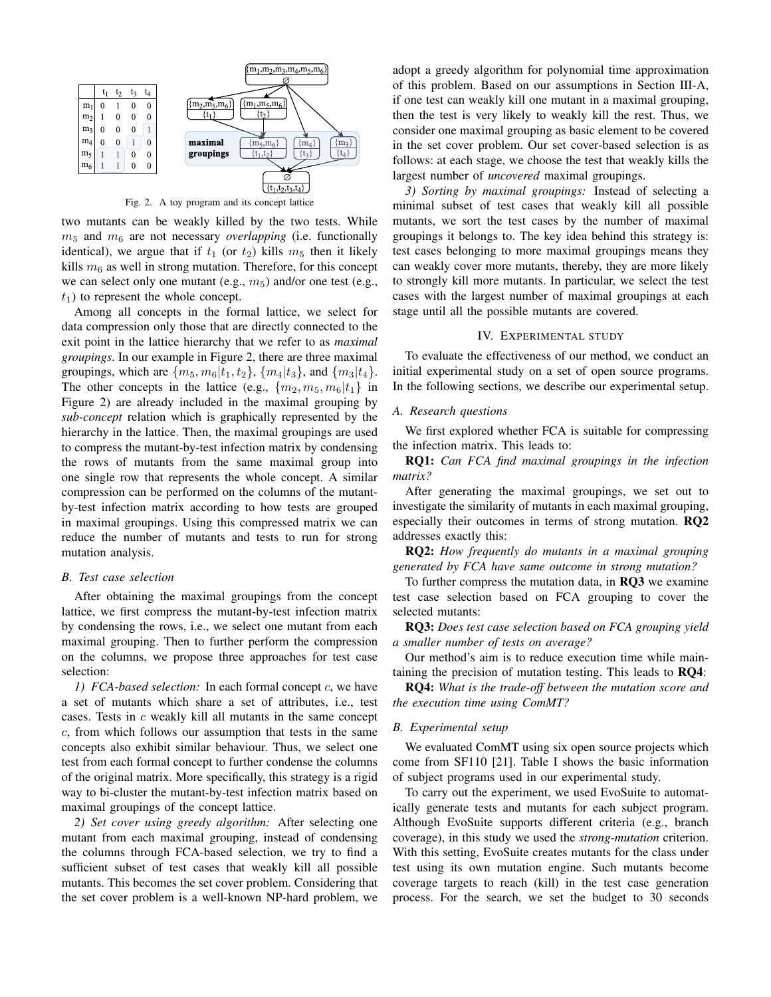

Fig. 2. A toy program and its concept lattice

two mutants can be weakly killed by the two tests. While  $m<sub>5</sub>$  and  $m<sub>6</sub>$  are not necessary *overlapping* (i.e. functionally identical), we argue that if  $t_1$  (or  $t_2$ ) kills  $m_5$  then it likely kills  $m<sub>6</sub>$  as well in strong mutation. Therefore, for this concept we can select only one mutant (e.g.,  $m_5$ ) and/or one test (e.g.,  $t_1$ ) to represent the whole concept.

Among all concepts in the formal lattice, we select for data compression only those that are directly connected to the exit point in the lattice hierarchy that we refer to as *maximal groupings*. In our example in Figure 2, there are three maximal groupings, which are  $\{m_5, m_6|t_1, t_2\}$ ,  $\{m_4|t_3\}$ , and  $\{m_3|t_4\}$ . The other concepts in the lattice (e.g.,  $\{m_2, m_5, m_6|t_1\}$  in Figure 2) are already included in the maximal grouping by *sub-concept* relation which is graphically represented by the hierarchy in the lattice. Then, the maximal groupings are used to compress the mutant-by-test infection matrix by condensing the rows of mutants from the same maximal group into one single row that represents the whole concept. A similar compression can be performed on the columns of the mutantby-test infection matrix according to how tests are grouped in maximal groupings. Using this compressed matrix we can reduce the number of mutants and tests to run for strong mutation analysis.

#### *B. Test case selection*

After obtaining the maximal groupings from the concept lattice, we first compress the mutant-by-test infection matrix by condensing the rows, i.e., we select one mutant from each maximal grouping. Then to further perform the compression on the columns, we propose three approaches for test case selection:

*1) FCA-based selection:* In each formal concept c, we have a set of mutants which share a set of attributes, i.e., test cases. Tests in c weakly kill all mutants in the same concept c, from which follows our assumption that tests in the same concepts also exhibit similar behaviour. Thus, we select one test from each formal concept to further condense the columns of the original matrix. More specifically, this strategy is a rigid way to bi-cluster the mutant-by-test infection matrix based on maximal groupings of the concept lattice.

*2) Set cover using greedy algorithm:* After selecting one mutant from each maximal grouping, instead of condensing the columns through FCA-based selection, we try to find a sufficient subset of test cases that weakly kill all possible mutants. This becomes the set cover problem. Considering that the set cover problem is a well-known NP-hard problem, we adopt a greedy algorithm for polynomial time approximation of this problem. Based on our assumptions in Section III-A, if one test can weakly kill one mutant in a maximal grouping, then the test is very likely to weakly kill the rest. Thus, we consider one maximal grouping as basic element to be covered in the set cover problem. Our set cover-based selection is as follows: at each stage, we choose the test that weakly kills the largest number of *uncovered* maximal groupings.

*3) Sorting by maximal groupings:* Instead of selecting a minimal subset of test cases that weakly kill all possible mutants, we sort the test cases by the number of maximal groupings it belongs to. The key idea behind this strategy is: test cases belonging to more maximal groupings means they can weakly cover more mutants, thereby, they are more likely to strongly kill more mutants. In particular, we select the test cases with the largest number of maximal groupings at each stage until all the possible mutants are covered.

## IV. EXPERIMENTAL STUDY

To evaluate the effectiveness of our method, we conduct an initial experimental study on a set of open source programs. In the following sections, we describe our experimental setup.

#### *A. Research questions*

We first explored whether FCA is suitable for compressing the infection matrix. This leads to:

RQ1: *Can FCA find maximal groupings in the infection matrix?*

After generating the maximal groupings, we set out to investigate the similarity of mutants in each maximal grouping, especially their outcomes in terms of strong mutation. RQ2 addresses exactly this:

RQ2: *How frequently do mutants in a maximal grouping generated by FCA have same outcome in strong mutation?*

To further compress the mutation data, in RQ3 we examine test case selection based on FCA grouping to cover the selected mutants:

RQ3: *Does test case selection based on FCA grouping yield a smaller number of tests on average?*

Our method's aim is to reduce execution time while maintaining the precision of mutation testing. This leads to RQ4:

RQ4: *What is the trade-off between the mutation score and the execution time using ComMT?*

#### *B. Experimental setup*

We evaluated ComMT using six open source projects which come from SF110 [21]. Table I shows the basic information of subject programs used in our experimental study.

To carry out the experiment, we used EvoSuite to automatically generate tests and mutants for each subject program. Although EvoSuite supports different criteria (e.g., branch coverage), in this study we used the *strong-mutation* criterion. With this setting, EvoSuite creates mutants for the class under test using its own mutation engine. Such mutants become coverage targets to reach (kill) in the test case generation process. For the search, we set the budget to 30 seconds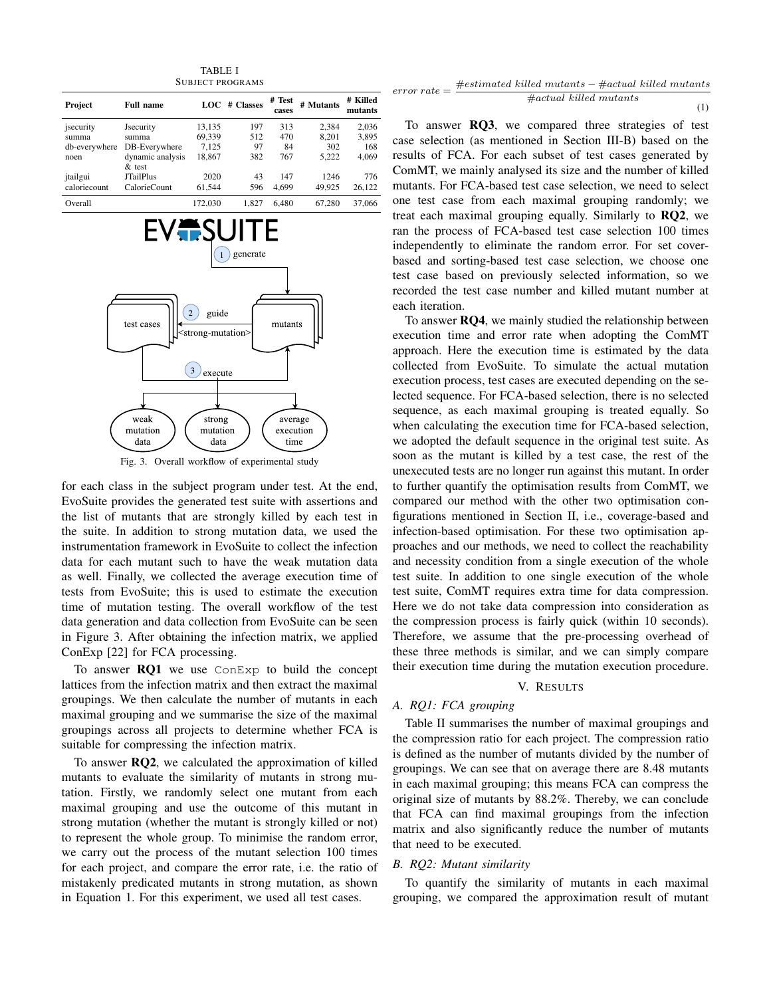TABLE I SUBJECT PROGRAMS

| Project       | <b>Full name</b>           | LOC     | # Classes | # Test<br>cases | # Mutants | # Killed<br>mutants |
|---------------|----------------------------|---------|-----------|-----------------|-----------|---------------------|
| jsecurity     | Jsecurity                  | 13,135  | 197       | 313             | 2.384     | 2,036               |
| summa         | summa                      | 69,339  | 512       | 470             | 8.201     | 3,895               |
| db-everywhere | DB-Everywhere              | 7.125   | 97        | 84              | 302       | 168                 |
| noen          | dynamic analysis<br>& test | 18,867  | 382       | 767             | 5.222     | 4,069               |
| jtailgui      | <b>JTailPlus</b>           | 2020    | 43        | 147             | 1246      | 776                 |
| caloriecount  | CalorieCount               | 61.544  | 596       | 4.699           | 49.925    | 26,122              |
| Overall       |                            | 172.030 | 1.827     | 6.480           | 67.280    | 37,066              |



Fig. 3. Overall workflow of experimental study

for each class in the subject program under test. At the end, EvoSuite provides the generated test suite with assertions and the list of mutants that are strongly killed by each test in the suite. In addition to strong mutation data, we used the instrumentation framework in EvoSuite to collect the infection data for each mutant such to have the weak mutation data as well. Finally, we collected the average execution time of tests from EvoSuite; this is used to estimate the execution time of mutation testing. The overall workflow of the test data generation and data collection from EvoSuite can be seen in Figure 3. After obtaining the infection matrix, we applied ConExp [22] for FCA processing.

To answer RQ1 we use ConExp to build the concept lattices from the infection matrix and then extract the maximal groupings. We then calculate the number of mutants in each maximal grouping and we summarise the size of the maximal groupings across all projects to determine whether FCA is suitable for compressing the infection matrix.

To answer RQ2, we calculated the approximation of killed mutants to evaluate the similarity of mutants in strong mutation. Firstly, we randomly select one mutant from each maximal grouping and use the outcome of this mutant in strong mutation (whether the mutant is strongly killed or not) to represent the whole group. To minimise the random error, we carry out the process of the mutant selection 100 times for each project, and compare the error rate, i.e. the ratio of mistakenly predicated mutants in strong mutation, as shown in Equation 1. For this experiment, we used all test cases.

$$
error\ rate = \frac{\#estimated\ killed\ mutants - \#actual\ killed\ mutants}{\#actual\ killed\ mutants}
$$

(1)

To answer RQ3, we compared three strategies of test case selection (as mentioned in Section III-B) based on the results of FCA. For each subset of test cases generated by ComMT, we mainly analysed its size and the number of killed mutants. For FCA-based test case selection, we need to select one test case from each maximal grouping randomly; we treat each maximal grouping equally. Similarly to RQ2, we ran the process of FCA-based test case selection 100 times independently to eliminate the random error. For set coverbased and sorting-based test case selection, we choose one test case based on previously selected information, so we recorded the test case number and killed mutant number at each iteration.

To answer RQ4, we mainly studied the relationship between execution time and error rate when adopting the ComMT approach. Here the execution time is estimated by the data collected from EvoSuite. To simulate the actual mutation execution process, test cases are executed depending on the selected sequence. For FCA-based selection, there is no selected sequence, as each maximal grouping is treated equally. So when calculating the execution time for FCA-based selection, we adopted the default sequence in the original test suite. As soon as the mutant is killed by a test case, the rest of the unexecuted tests are no longer run against this mutant. In order to further quantify the optimisation results from ComMT, we compared our method with the other two optimisation configurations mentioned in Section II, i.e., coverage-based and infection-based optimisation. For these two optimisation approaches and our methods, we need to collect the reachability and necessity condition from a single execution of the whole test suite. In addition to one single execution of the whole test suite, ComMT requires extra time for data compression. Here we do not take data compression into consideration as the compression process is fairly quick (within 10 seconds). Therefore, we assume that the pre-processing overhead of these three methods is similar, and we can simply compare their execution time during the mutation execution procedure.

## V. RESULTS

## *A. RQ1: FCA grouping*

Table II summarises the number of maximal groupings and the compression ratio for each project. The compression ratio is defined as the number of mutants divided by the number of groupings. We can see that on average there are 8.48 mutants in each maximal grouping; this means FCA can compress the original size of mutants by 88.2%. Thereby, we can conclude that FCA can find maximal groupings from the infection matrix and also significantly reduce the number of mutants that need to be executed.

#### *B. RQ2: Mutant similarity*

To quantify the similarity of mutants in each maximal grouping, we compared the approximation result of mutant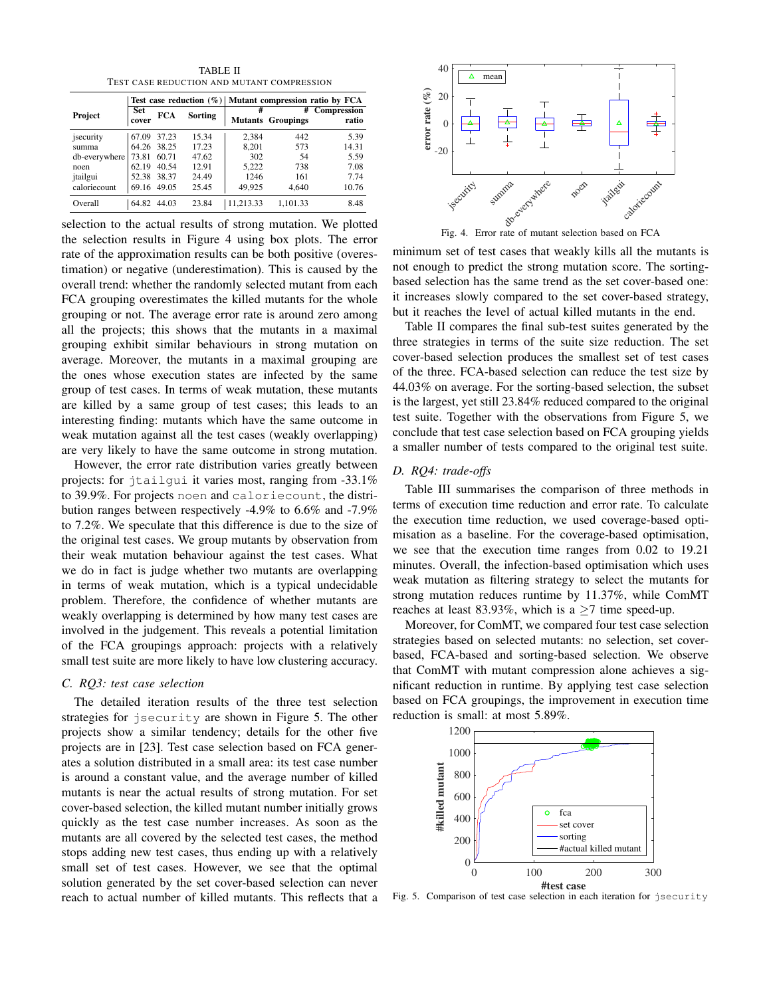TABLE II TEST CASE REDUCTION AND MUTANT COMPRESSION

|               |                     |       |                | Test case reduction $(\%)$ Mutant compression ratio by FCA |                               |                             |  |  |
|---------------|---------------------|-------|----------------|------------------------------------------------------------|-------------------------------|-----------------------------|--|--|
| Project       | <b>Set</b><br>cover | FCA   | <b>Sorting</b> | #                                                          | #<br><b>Mutants Groupings</b> | <b>Compression</b><br>ratio |  |  |
| jsecurity     | 67.09               | 37.23 | 15.34          | 2.384                                                      | 442                           | 5.39                        |  |  |
| summa         | 64.26               | 38.25 | 17.23          | 8.201                                                      | 573                           | 14.31                       |  |  |
| db-everywhere | 73.81               | 60.71 | 47.62          | 302                                                        | 54                            | 5.59                        |  |  |
| noen          | 62.19               | 40.54 | 12.91          | 5.222                                                      | 738                           | 7.08                        |  |  |
| jtailgui      | 52.38               | 38.37 | 24.49          | 1246                                                       | 161                           | 7.74                        |  |  |
| caloriecount  | 69.16               | 49.05 | 25.45          | 49,925                                                     | 4.640                         | 10.76                       |  |  |
| Overall       | 64.82               | 44.03 | 23.84          | 11.213.33                                                  | 1,101.33                      | 8.48                        |  |  |

selection to the actual results of strong mutation. We plotted the selection results in Figure 4 using box plots. The error rate of the approximation results can be both positive (overestimation) or negative (underestimation). This is caused by the overall trend: whether the randomly selected mutant from each FCA grouping overestimates the killed mutants for the whole grouping or not. The average error rate is around zero among all the projects; this shows that the mutants in a maximal grouping exhibit similar behaviours in strong mutation on average. Moreover, the mutants in a maximal grouping are the ones whose execution states are infected by the same group of test cases. In terms of weak mutation, these mutants are killed by a same group of test cases; this leads to an interesting finding: mutants which have the same outcome in weak mutation against all the test cases (weakly overlapping) are very likely to have the same outcome in strong mutation. are<br>noncominal pixt,  $\approx$  38 (114, 1975).  $\frac{4}{3}$  (1976) and the same interaction of the base of storing mutants of killed mutants of killed mutants of killed mutants of killed mutants of killed mutants of killed mutant

However, the error rate distribution varies greatly between projects: for jtailgui it varies most, ranging from -33.1% to 39.9%. For projects noen and caloriecount, the distribution ranges between respectively -4.9% to 6.6% and -7.9% to 7.2%. We speculate that this difference is due to the size of the original test cases. We group mutants by observation from their weak mutation behaviour against the test cases. What we do in fact is judge whether two mutants are overlapping in terms of weak mutation, which is a typical undecidable problem. Therefore, the confidence of whether mutants are weakly overlapping is determined by how many test cases are involved in the judgement. This reveals a potential limitation of the FCA groupings approach: projects with a relatively small test suite are more likely to have low clustering accuracy.

## *C. RQ3: test case selection*

The detailed iteration results of the three test selection strategies for jsecurity are shown in Figure 5. The other projects show a similar tendency; details for the other five projects are in [23]. Test case selection based on FCA generates a solution distributed in a small area: its test case number is around a constant value, and the average number of killed mutants is near the actual results of strong mutation. For set cover-based selection, the killed mutant number initially grows quickly as the test case number increases. As soon as the mutants are all covered by the selected test cases, the method stops adding new test cases, thus ending up with a relatively small set of test cases. However, we see that the optimal solution generated by the set cover-based selection can never



Fig. 4. Error rate of mutant selection based on FCA

minimum set of test cases that weakly kills all the mutants is not enough to predict the strong mutation score. The sortingbased selection has the same trend as the set cover-based one: it increases slowly compared to the set cover-based strategy, but it reaches the level of actual killed mutants in the end.

Table II compares the final sub-test suites generated by the three strategies in terms of the suite size reduction. The set cover-based selection produces the smallest set of test cases of the three. FCA-based selection can reduce the test size by 44.03% on average. For the sorting-based selection, the subset is the largest, yet still 23.84% reduced compared to the original test suite. Together with the observations from Figure 5, we conclude that test case selection based on FCA grouping yields a smaller number of tests compared to the original test suite.

## *D. RQ4: trade-offs*

Table III summarises the comparison of three methods in terms of execution time reduction and error rate. To calculate the execution time reduction, we used coverage-based optimisation as a baseline. For the coverage-based optimisation, we see that the execution time ranges from 0.02 to 19.21 minutes. Overall, the infection-based optimisation which uses weak mutation as filtering strategy to select the mutants for strong mutation reduces runtime by 11.37%, while ComMT reaches at least 83.93%, which is a  $\geq$ 7 time speed-up.

Moreover, for ComMT, we compared four test case selection strategies based on selected mutants: no selection, set coverbased, FCA-based and sorting-based selection. We observe that ComMT with mutant compression alone achieves a significant reduction in runtime. By applying test case selection based on FCA groupings, the improvement in execution time reduction is small: at most 5.89%.



Fig. 5. Comparison of test case selection in each iteration for jsecurity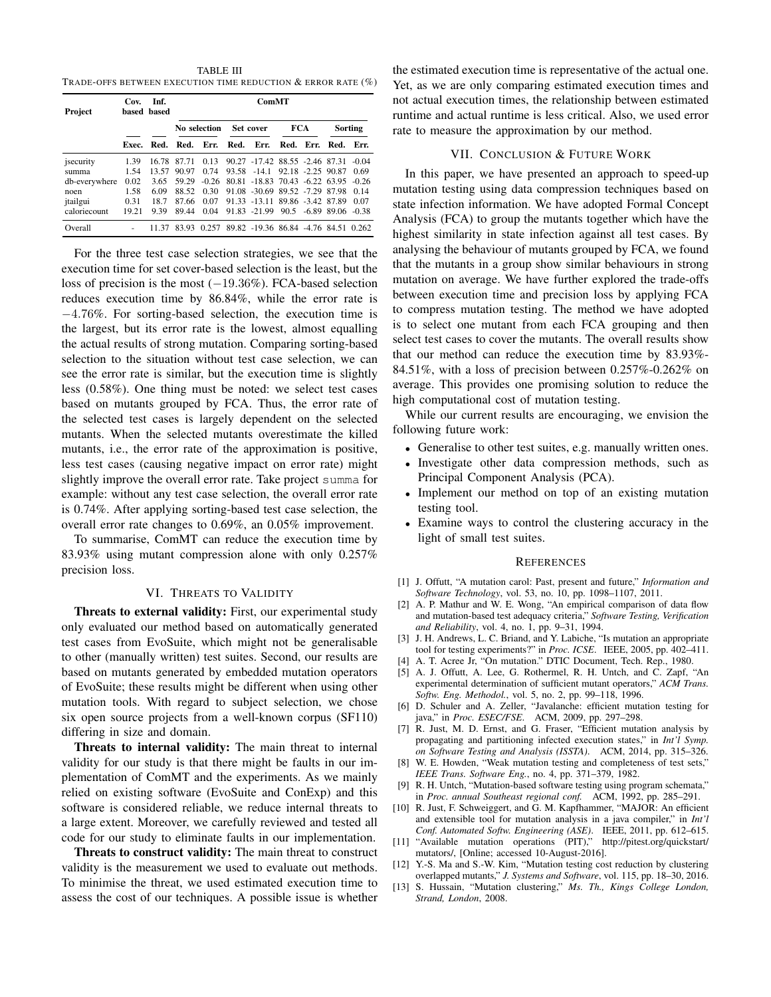TABLE III TRADE-OFFS BETWEEN EXECUTION TIME REDUCTION  $\&$  ERROR RATE  $(\%)$ 

| <b>Project</b> | Cov.  | Inf.<br>based based | <b>ComMT</b> |             |           |                                      |                   |           |                  |         |
|----------------|-------|---------------------|--------------|-------------|-----------|--------------------------------------|-------------------|-----------|------------------|---------|
|                |       |                     | No selection |             | Set cover |                                      | <b>FCA</b>        |           | <b>Sorting</b>   |         |
|                | Exec. | Red.                | Red.         | Err.        | Red.      | Err.                                 |                   | Red. Err. | - Red. -         | Err.    |
| jsecurity      | 1.39  | 16.78               | 87.71        | 0.13        |           | 90.27 -17.42 88.55 -2.46 87.31       |                   |           |                  | $-0.04$ |
| summa          | 1.54  | 13.57               | 90.97        | 0.74        | 93.58     | $-14.1$                              | 92.18 -2.25 90.87 |           |                  | 0.69    |
| db-everywhere  | 0.02  | 3.65                | 59.29        | $-0.26$     |           | 80.81 -18.83 70.43 -6.22 63.95       |                   |           |                  | $-0.26$ |
| noen           | 1.58  | 6.09                | 88.52        | 0.30        |           | 91.08 -30.69 89.52 -7.29 87.98       |                   |           |                  | 0.14    |
| jtailgui       | 0.31  | 18.7                | 87.66        | 0.07        |           | $91.33 - 13.11$                      | 89.86 -3.42 87.89 |           |                  | 0.07    |
| caloriecount   | 19.21 | 9.39                | 89.44        | 0.04        |           | 91.83 -21.99                         |                   |           | 90.5 -6.89 89.06 | $-0.38$ |
| Overall        | ٠     | 11.37               |              | 83.93 0.257 |           | 89.82 -19.36 86.84 -4.76 84.51 0.262 |                   |           |                  |         |

For the three test case selection strategies, we see that the execution time for set cover-based selection is the least, but the loss of precision is the most (−19.36%). FCA-based selection reduces execution time by 86.84%, while the error rate is −4.76%. For sorting-based selection, the execution time is the largest, but its error rate is the lowest, almost equalling the actual results of strong mutation. Comparing sorting-based selection to the situation without test case selection, we can see the error rate is similar, but the execution time is slightly less (0.58%). One thing must be noted: we select test cases based on mutants grouped by FCA. Thus, the error rate of the selected test cases is largely dependent on the selected mutants. When the selected mutants overestimate the killed mutants, i.e., the error rate of the approximation is positive, less test cases (causing negative impact on error rate) might slightly improve the overall error rate. Take project summa for example: without any test case selection, the overall error rate is 0.74%. After applying sorting-based test case selection, the overall error rate changes to 0.69%, an 0.05% improvement.

To summarise, ComMT can reduce the execution time by 83.93% using mutant compression alone with only 0.257% precision loss.

#### VI. THREATS TO VALIDITY

Threats to external validity: First, our experimental study only evaluated our method based on automatically generated test cases from EvoSuite, which might not be generalisable to other (manually written) test suites. Second, our results are based on mutants generated by embedded mutation operators of EvoSuite; these results might be different when using other mutation tools. With regard to subject selection, we chose six open source projects from a well-known corpus (SF110) differing in size and domain.

Threats to internal validity: The main threat to internal validity for our study is that there might be faults in our implementation of ComMT and the experiments. As we mainly relied on existing software (EvoSuite and ConExp) and this software is considered reliable, we reduce internal threats to a large extent. Moreover, we carefully reviewed and tested all code for our study to eliminate faults in our implementation.

Threats to construct validity: The main threat to construct validity is the measurement we used to evaluate out methods. To minimise the threat, we used estimated execution time to assess the cost of our techniques. A possible issue is whether the estimated execution time is representative of the actual one. Yet, as we are only comparing estimated execution times and not actual execution times, the relationship between estimated runtime and actual runtime is less critical. Also, we used error rate to measure the approximation by our method.

#### VII. CONCLUSION & FUTURE WORK

In this paper, we have presented an approach to speed-up mutation testing using data compression techniques based on state infection information. We have adopted Formal Concept Analysis (FCA) to group the mutants together which have the highest similarity in state infection against all test cases. By analysing the behaviour of mutants grouped by FCA, we found that the mutants in a group show similar behaviours in strong mutation on average. We have further explored the trade-offs between execution time and precision loss by applying FCA to compress mutation testing. The method we have adopted is to select one mutant from each FCA grouping and then select test cases to cover the mutants. The overall results show that our method can reduce the execution time by 83.93%- 84.51%, with a loss of precision between 0.257%-0.262% on average. This provides one promising solution to reduce the high computational cost of mutation testing.

While our current results are encouraging, we envision the following future work:

- Generalise to other test suites, e.g. manually written ones.
- Investigate other data compression methods, such as Principal Component Analysis (PCA).
- Implement our method on top of an existing mutation testing tool.
- Examine ways to control the clustering accuracy in the light of small test suites.

#### **REFERENCES**

- [1] J. Offutt, "A mutation carol: Past, present and future," *Information and Software Technology*, vol. 53, no. 10, pp. 1098–1107, 2011.
- [2] A. P. Mathur and W. E. Wong, "An empirical comparison of data flow and mutation-based test adequacy criteria," *Software Testing, Verification and Reliability*, vol. 4, no. 1, pp. 9–31, 1994.
- [3] J. H. Andrews, L. C. Briand, and Y. Labiche, "Is mutation an appropriate tool for testing experiments?" in *Proc. ICSE*. IEEE, 2005, pp. 402–411.
- [4] A. T. Acree Jr, "On mutation." DTIC Document, Tech. Rep., 1980.
- [5] A. J. Offutt, A. Lee, G. Rothermel, R. H. Untch, and C. Zapf, "An experimental determination of sufficient mutant operators," *ACM Trans. Softw. Eng. Methodol.*, vol. 5, no. 2, pp. 99–118, 1996.
- [6] D. Schuler and A. Zeller, "Javalanche: efficient mutation testing for java," in *Proc. ESEC/FSE*. ACM, 2009, pp. 297–298.
- [7] R. Just, M. D. Ernst, and G. Fraser, "Efficient mutation analysis by propagating and partitioning infected execution states," in *Int'l Symp. on Software Testing and Analysis (ISSTA)*. ACM, 2014, pp. 315–326.
- [8] W. E. Howden, "Weak mutation testing and completeness of test sets," *IEEE Trans. Software Eng.*, no. 4, pp. 371–379, 1982.
- [9] R. H. Untch, "Mutation-based software testing using program schemata," in *Proc. annual Southeast regional conf.* ACM, 1992, pp. 285–291.
- [10] R. Just, F. Schweiggert, and G. M. Kapfhammer, "MAJOR: An efficient and extensible tool for mutation analysis in a java compiler," in *Int'l Conf. Automated Softw. Engineering (ASE)*. IEEE, 2011, pp. 612–615.
- [11] "Available mutation operations (PIT)," http://pitest.org/quickstart/ mutators/, [Online; accessed 10-August-2016].
- [12] Y.-S. Ma and S.-W. Kim, "Mutation testing cost reduction by clustering overlapped mutants," *J. Systems and Software*, vol. 115, pp. 18–30, 2016.
- [13] S. Hussain, "Mutation clustering," *Ms. Th., Kings College London, Strand, London*, 2008.